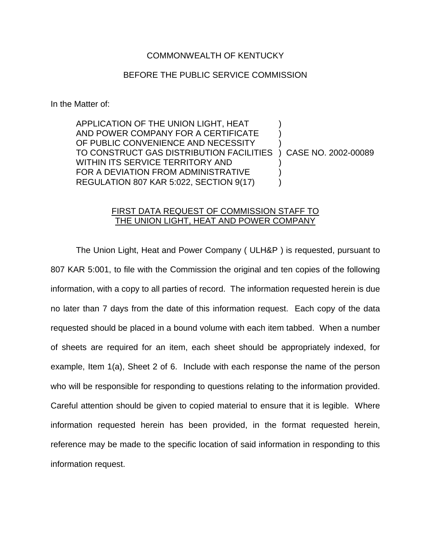## COMMONWEALTH OF KENTUCKY

## BEFORE THE PUBLIC SERVICE COMMISSION

In the Matter of:

APPLICATION OF THE UNION LIGHT, HEAT ) AND POWER COMPANY FOR A CERTIFICATE OF PUBLIC CONVENIENCE AND NECESSITY TO CONSTRUCT GAS DISTRIBUTION FACILITIES ) CASE NO. 2002-00089 WITHIN ITS SERVICE TERRITORY AND FOR A DEVIATION FROM ADMINISTRATIVE  $\qquad \qquad$  ) REGULATION 807 KAR 5:022, SECTION 9(17)  $\qquad$  )

## FIRST DATA REQUEST OF COMMISSION STAFF TO THE UNION LIGHT, HEAT AND POWER COMPANY

The Union Light, Heat and Power Company ( ULH&P ) is requested, pursuant to 807 KAR 5:001, to file with the Commission the original and ten copies of the following information, with a copy to all parties of record. The information requested herein is due no later than 7 days from the date of this information request. Each copy of the data requested should be placed in a bound volume with each item tabbed. When a number of sheets are required for an item, each sheet should be appropriately indexed, for example, Item 1(a), Sheet 2 of 6. Include with each response the name of the person who will be responsible for responding to questions relating to the information provided. Careful attention should be given to copied material to ensure that it is legible. Where information requested herein has been provided, in the format requested herein, reference may be made to the specific location of said information in responding to this information request.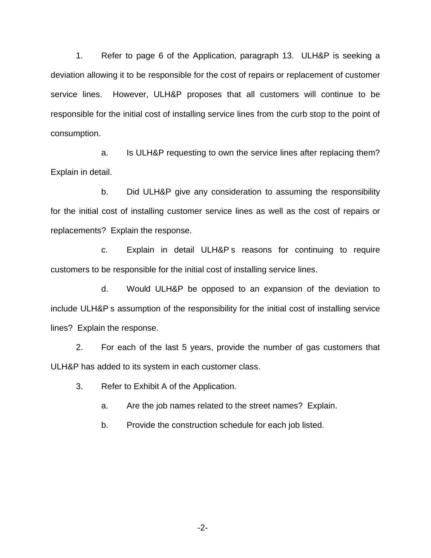1. Refer to page 6 of the Application, paragraph 13. ULH&P is seeking a deviation allowing it to be responsible for the cost of repairs or replacement of customer service lines. However, ULH&P proposes that all customers will continue to be responsible for the initial cost of installing service lines from the curb stop to the point of consumption.

a. Is ULH&P requesting to own the service lines after replacing them? Explain in detail.

b. Did ULH&P give any consideration to assuming the responsibility for the initial cost of installing customer service lines as well as the cost of repairs or replacements? Explain the response.

c. Explain in detail ULH&P s reasons for continuing to require customers to be responsible for the initial cost of installing service lines.

d. Would ULH&P be opposed to an expansion of the deviation to include ULH&P s assumption of the responsibility for the initial cost of installing service lines? Explain the response.

2. For each of the last 5 years, provide the number of gas customers that ULH&P has added to its system in each customer class.

3. Refer to Exhibit A of the Application.

a. Are the job names related to the street names? Explain.

b. Provide the construction schedule for each job listed.

-2-